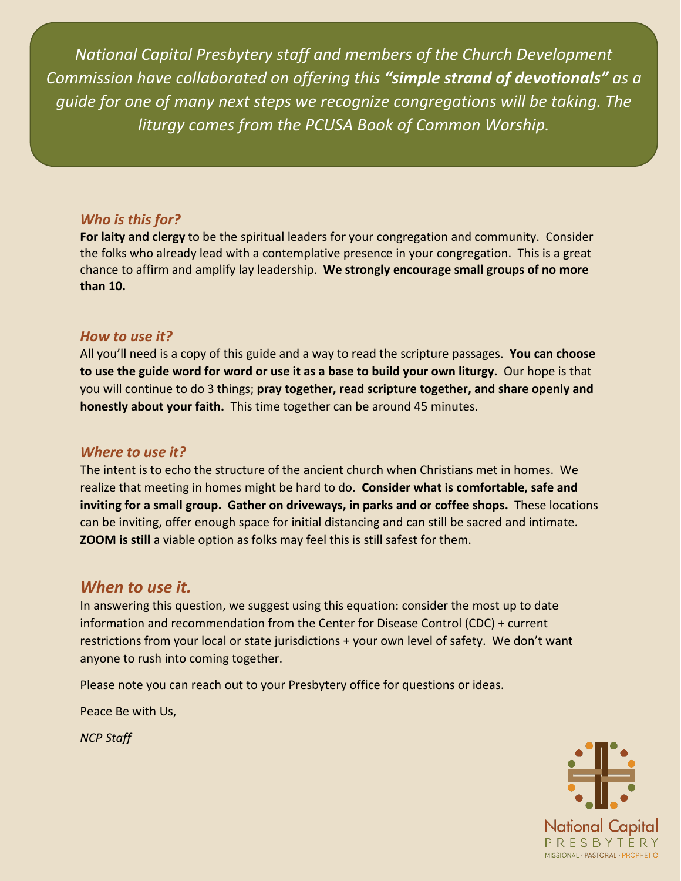*National Capital Presbytery staff and members of the Church Development Commission have collaborated on offering this "simple strand of devotionals" as a guide for one of many next steps we recognize congregations will be taking. The liturgy comes from the PCUSA Book of Common Worship.*

# *Who is this for?*

**For laity and clergy** to be the spiritual leaders for your congregation and community. Consider the folks who already lead with a contemplative presence in your congregation. This is a great chance to affirm and amplify lay leadership. **We strongly encourage small groups of no more than 10.**

# *How to use it?*

All you'll need is a copy of this guide and a way to read the scripture passages. **You can choose to use the guide word for word or use it as a base to build your own liturgy.** Our hope is that you will continue to do 3 things; **pray together, read scripture together, and share openly and honestly about your faith.** This time together can be around 45 minutes.

## *Where to use it?*

The intent is to echo the structure of the ancient church when Christians met in homes. We realize that meeting in homes might be hard to do. **Consider what is comfortable, safe and inviting for a small group. Gather on driveways, in parks and or coffee shops.** These locations can be inviting, offer enough space for initial distancing and can still be sacred and intimate. **ZOOM is still** a viable option as folks may feel this is still safest for them.

# *When to use it.*

In answering this question, we suggest using this equation: consider the most up to date information and recommendation from the Center for Disease Control (CDC) + current restrictions from your local or state jurisdictions + your own level of safety. We don't want anyone to rush into coming together.

Please note you can reach out to your Presbytery office for questions or ideas.

Peace Be with Us,

*NCP Staff*

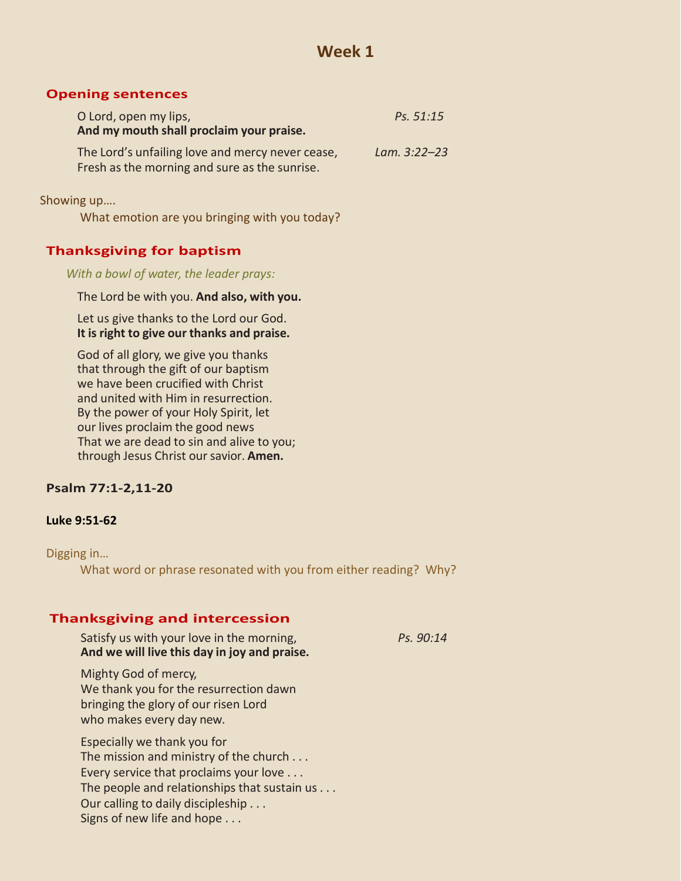## **Opening sentences**

| O Lord, open my lips,                                                                             | Ps. 51:15        |
|---------------------------------------------------------------------------------------------------|------------------|
| And my mouth shall proclaim your praise.                                                          |                  |
| The Lord's unfailing love and mercy never cease,<br>Fresh as the morning and sure as the sunrise. | Lam. $3:22 - 23$ |
|                                                                                                   |                  |

Showing up….

What emotion are you bringing with you today?

# **Thanksgiving for baptism**

*With a bowl of water, the leader prays:*

The Lord be with you. **And also, with you.**

Let us give thanks to the Lord our God. **It is right to give our thanks and praise.**

God of all glory, we give you thanks that through the gift of our baptism we have been crucified with Christ and united with Him in resurrection. By the power of your Holy Spirit, let our lives proclaim the good news That we are dead to sin and alive to you; through Jesus Christ our savior. Amen.

## **Psalm 77:1-2,11-20**

## **Luke 9:51-62**

Digging in…

What word or phrase resonated with you from either reading? Why?

## **Thanksgiving and intercession**

Satisfy us with your love in the morning, *Ps. 90:14* **And we will live this day in joy and praise.**

Mighty God of mercy, We thank you for the resurrection dawn bringing the glory of our risen Lord who makes every day new.

Especially we thank you for The mission and ministry of the church . . . Every service that proclaims your love . . . The people and relationships that sustain us . . . Our calling to daily discipleship . . . Signs of new life and hope . . .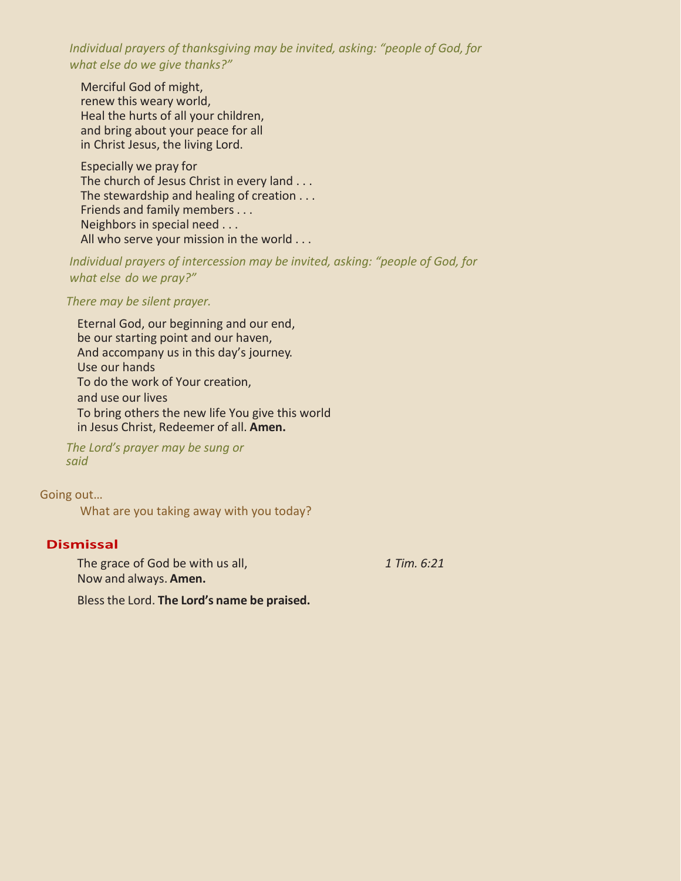*Individual prayers of thanksgiving may be invited, asking: "people of God, for what else do we give thanks?"*

Merciful God of might, renew this weary world, Heal the hurts of all your children, and bring about your peace for all in Christ Jesus, the living Lord.

Especially we pray for The church of Jesus Christ in every land . . . The stewardship and healing of creation . . . Friends and family members . . . Neighbors in special need . . . All who serve your mission in the world . . .

*Individual prayers of intercession may be invited, asking: "people of God, for what else do we pray?"*

*There may be silent prayer.*

Eternal God, our beginning and our end, be our starting point and our haven, And accompany us in this day's journey. Use our hands To do the work of Your creation, and use our lives To bring others the new life You give this world in Jesus Christ, Redeemer of all. **Amen.**

*The Lord's prayer may be sung or said*

Going out…

What are you taking away with you today?

## **Dismissal**

The grace of God be with us all, *1 Tim. 6:21* Now and always. **Amen.**

Bless the Lord. **The Lord's name be praised.**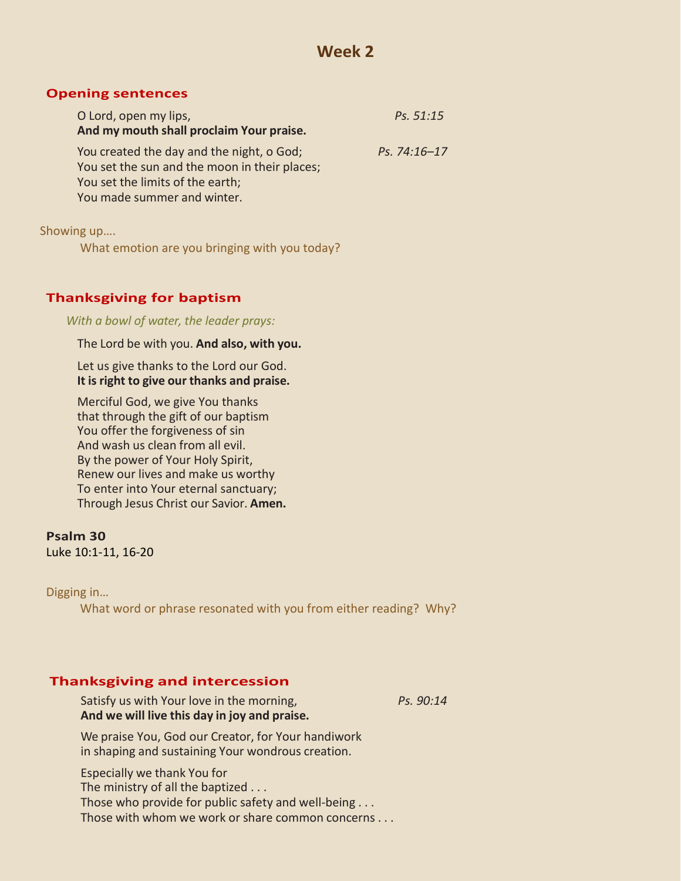### **Opening sentences**

| O Lord, open my lips,                                                                                                                                         | Ps. 51:15    |
|---------------------------------------------------------------------------------------------------------------------------------------------------------------|--------------|
| And my mouth shall proclaim Your praise.                                                                                                                      |              |
| You created the day and the night, o God;<br>You set the sun and the moon in their places;<br>You set the limits of the earth;<br>You made summer and winter. | Ps. 74:16-17 |

Showing up….

What emotion are you bringing with you today?

# **Thanksgiving for baptism**

*With a bowl of water, the leader prays:*

The Lord be with you. **And also, with you.**

Let us give thanks to the Lord our God. **It is right to give our thanks and praise.**

Merciful God, we give You thanks that through the gift of our baptism You offer the forgiveness of sin And wash us clean from all evil. By the power of Your Holy Spirit, Renew our lives and make us worthy To enter into Your eternal sanctuary; Through Jesus Christ our Savior. **Amen.**

**Psalm 30** Luke 10:1-11, 16-20

Digging in…

What word or phrase resonated with you from either reading? Why?

## **Thanksgiving and intercession**

Satisfy us with Your love in the morning, *Ps. 90:14* **And we will live this day in joy and praise.**

We praise You, God our Creator, for Your handiwork in shaping and sustaining Your wondrous creation.

Especially we thank You for The ministry of all the baptized . . . Those who provide for public safety and well-being . . . Those with whom we work or share common concerns . . .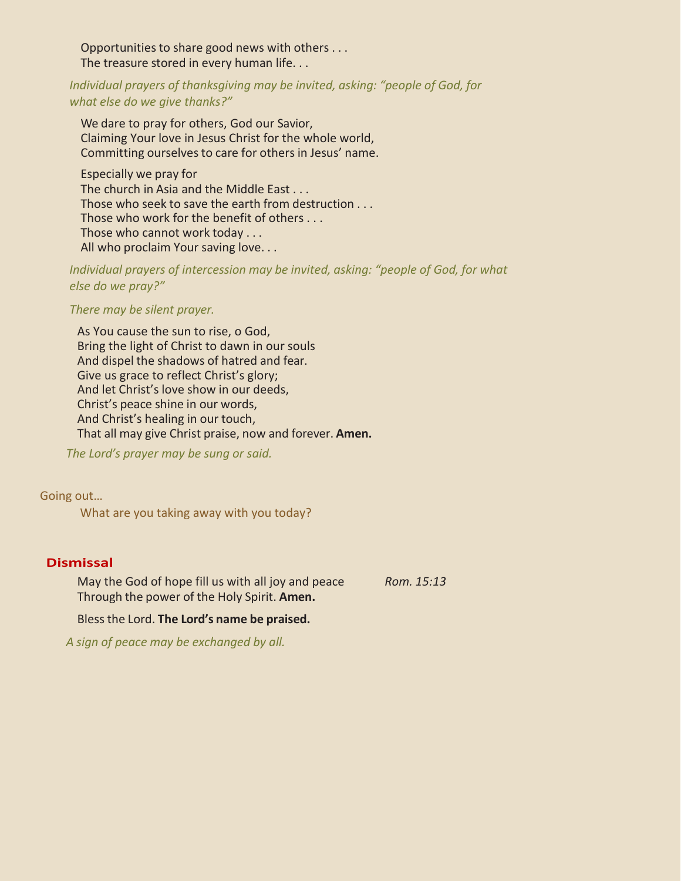Opportunities to share good news with others . . . The treasure stored in every human life. . .

*Individual prayers of thanksgiving may be invited, asking: "people of God, for what else do we give thanks?"*

We dare to pray for others, God our Savior, Claiming Your love in Jesus Christ for the whole world, Committing ourselves to care for others in Jesus' name.

Especially we pray for The church in Asia and the Middle East . . . Those who seek to save the earth from destruction . . . Those who work for the benefit of others . . . Those who cannot work today . . . All who proclaim Your saving love. . .

*Individual prayers of intercession may be invited, asking: "people of God, for what else do we pray?"*

*There may be silent prayer.*

As You cause the sun to rise, o God, Bring the light of Christ to dawn in our souls And dispel the shadows of hatred and fear. Give us grace to reflect Christ's glory; And let Christ's love show in our deeds, Christ's peace shine in our words, And Christ's healing in our touch, That all may give Christ praise, now and forever. **Amen.**

*The Lord's prayer may be sung or said.*

Going out…

What are you taking away with you today?

## **Dismissal**

May the God of hope fill us with all joy and peace *Rom. 15:13* Through the power of the Holy Spirit. **Amen.**

Bless the Lord. **The Lord's name be praised.**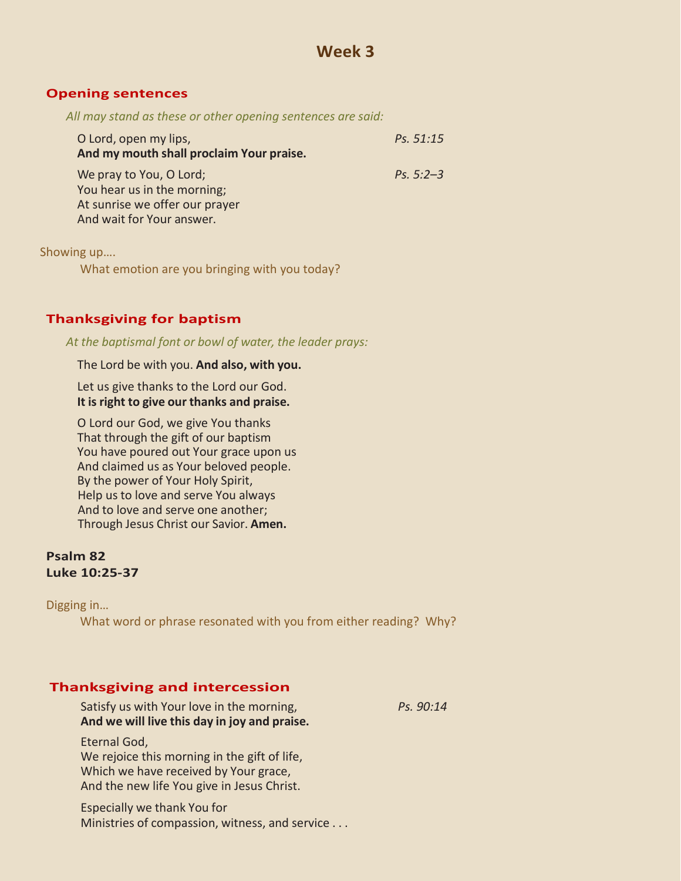## **Opening sentences**

*All may stand as these or other opening sentences are said:*

| O Lord, open my lips,<br>And my mouth shall proclaim Your praise.                                                     | Ps. 51:15   |
|-----------------------------------------------------------------------------------------------------------------------|-------------|
| We pray to You, O Lord;<br>You hear us in the morning;<br>At sunrise we offer our prayer<br>And wait for Your answer. | Ps. $5:2-3$ |

Showing up….

What emotion are you bringing with you today?

# **Thanksgiving for baptism**

*At the baptismal font or bowl of water, the leader prays:*

### The Lord be with you. **And also, with you.**

Let us give thanks to the Lord our God. **It is right to give our thanks and praise.**

O Lord our God, we give You thanks That through the gift of our baptism You have poured out Your grace upon us And claimed us as Your beloved people. By the power of Your Holy Spirit, Help us to love and serve You always And to love and serve one another; Through Jesus Christ our Savior. **Amen.**

## **Psalm 82 Luke 10:25-37**

Digging in…

What word or phrase resonated with you from either reading? Why?

## **Thanksgiving and intercession**

| Satisfy us with Your love in the morning,<br>And we will live this day in joy and praise.                                                           | Ps. 90:14 |
|-----------------------------------------------------------------------------------------------------------------------------------------------------|-----------|
| Eternal God,<br>We rejoice this morning in the gift of life,<br>Which we have received by Your grace,<br>And the new life You give in Jesus Christ. |           |
| Especially we thank You for                                                                                                                         |           |

Ministries of compassion, witness, and service . . .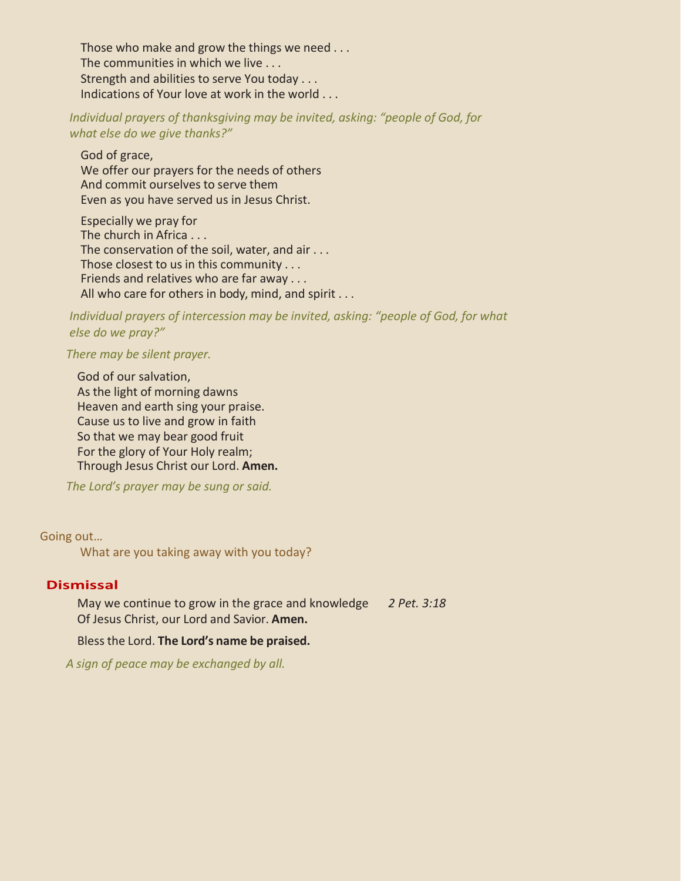Those who make and grow the things we need . . . The communities in which we live . . . Strength and abilities to serve You today . . . Indications of Your love at work in the world . . .

*Individual prayers of thanksgiving may be invited, asking: "people of God, for what else do we give thanks?"*

God of grace, We offer our prayers for the needs of others And commit ourselves to serve them Even as you have served us in Jesus Christ.

Especially we pray for The church in Africa . . . The conservation of the soil, water, and air . . . Those closest to us in this community . . . Friends and relatives who are far away . . . All who care for others in body, mind, and spirit . . .

*Individual prayers of intercession may be invited, asking: "people of God, for what else do we pray?"*

*There may be silent prayer.*

God of our salvation, As the light of morning dawns Heaven and earth sing your praise. Cause us to live and grow in faith So that we may bear good fruit For the glory of Your Holy realm; Through Jesus Christ our Lord. **Amen.**

*The Lord's prayer may be sung or said.*

Going out…

What are you taking away with you today?

## **Dismissal**

May we continue to grow in the grace and knowledge *2 Pet. 3:18* Of Jesus Christ, our Lord and Savior. **Amen.**

Bless the Lord. **The Lord's name be praised.**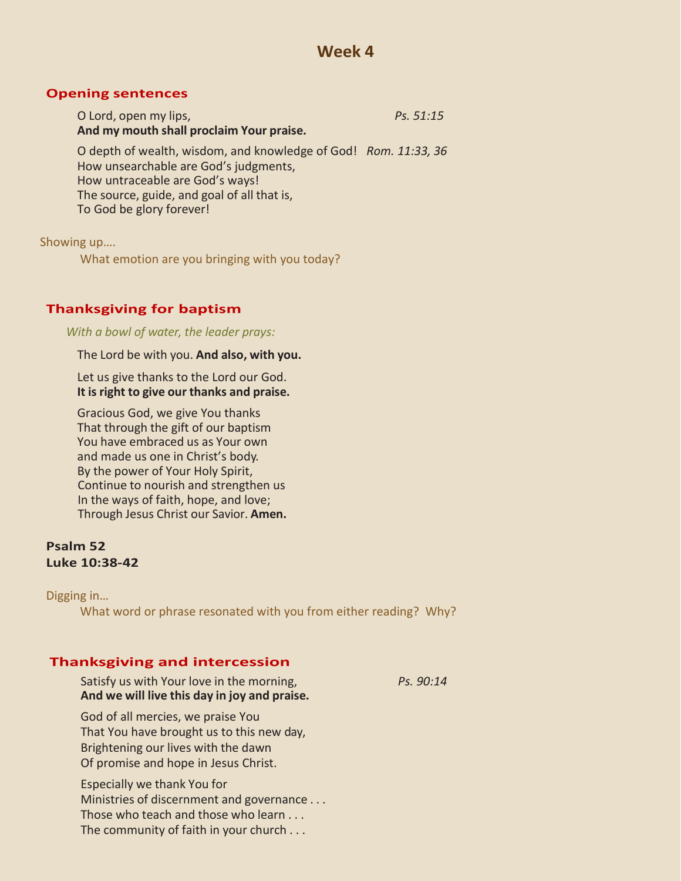## **Opening sentences**

| O Lord, open my lips,                                           | Ps. 51:15 |
|-----------------------------------------------------------------|-----------|
| And my mouth shall proclaim Your praise.                        |           |
| O depth of wealth, wisdom, and knowledge of God! Rom. 11:33, 36 |           |
| How unsearchable are God's judgments,                           |           |
| How untraceable are God's ways!                                 |           |
| The source, guide, and goal of all that is,                     |           |
| To God be glory forever!                                        |           |

Showing up….

What emotion are you bringing with you today?

## **Thanksgiving for baptism**

*With a bowl of water, the leader prays:*

The Lord be with you. **And also, with you.**

Let us give thanks to the Lord our God. **It is right to give our thanks and praise.**

Gracious God, we give You thanks That through the gift of our baptism You have embraced us as Your own and made us one in Christ's body. By the power of Your Holy Spirit, Continue to nourish and strengthen us In the ways of faith, hope, and love; Through Jesus Christ our Savior. **Amen.**

## **Psalm 52 Luke 10:38-42**

Digging in…

What word or phrase resonated with you from either reading? Why?

## **Thanksgiving and intercession**

Satisfy us with Your love in the morning, *Ps. 90:14* **And we will live this day in joy and praise.** God of all mercies, we praise You

That You have brought us to this new day, Brightening our lives with the dawn Of promise and hope in Jesus Christ.

Especially we thank You for Ministries of discernment and governance . . . Those who teach and those who learn . . . The community of faith in your church . . .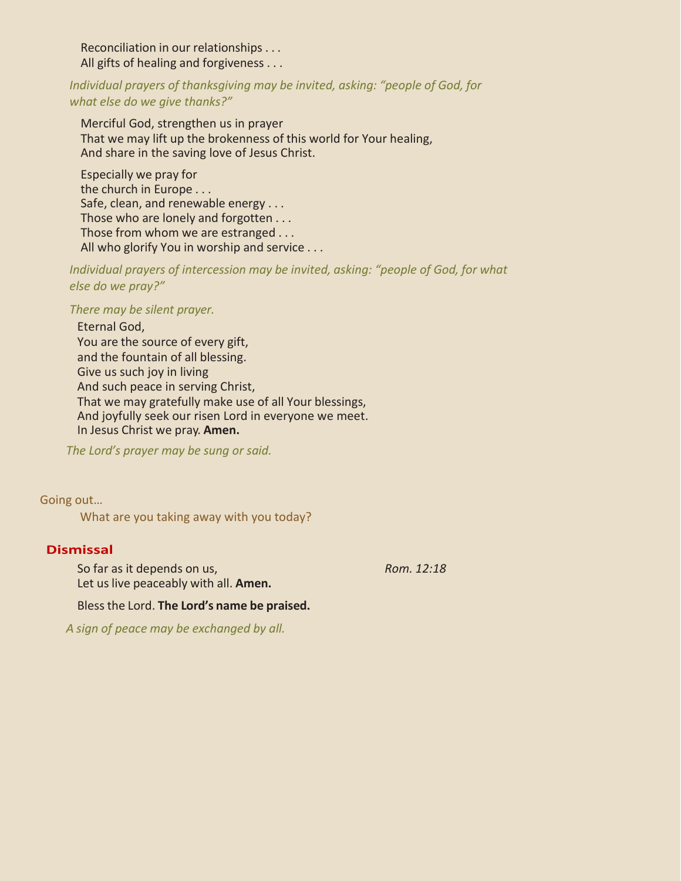Reconciliation in our relationships . . . All gifts of healing and forgiveness . . .

*Individual prayers of thanksgiving may be invited, asking: "people of God, for what else do we give thanks?"*

Merciful God, strengthen us in prayer That we may lift up the brokenness of this world for Your healing, And share in the saving love of Jesus Christ.

Especially we pray for the church in Europe . . . Safe, clean, and renewable energy . . . Those who are lonely and forgotten . . . Those from whom we are estranged . . . All who glorify You in worship and service . . .

*Individual prayers of intercession may be invited, asking: "people of God, for what else do we pray?"*

#### *There may be silent prayer.*

Eternal God,

You are the source of every gift, and the fountain of all blessing. Give us such joy in living And such peace in serving Christ, That we may gratefully make use of all Your blessings, And joyfully seek our risen Lord in everyone we meet. In Jesus Christ we pray. **Amen.**

*The Lord's prayer may be sung or said.*

Going out…

What are you taking away with you today?

## **Dismissal**

So far as it depends on us, *Rom. 12:18* Let us live peaceably with all. **Amen.**

Bless the Lord. **The Lord's name be praised.**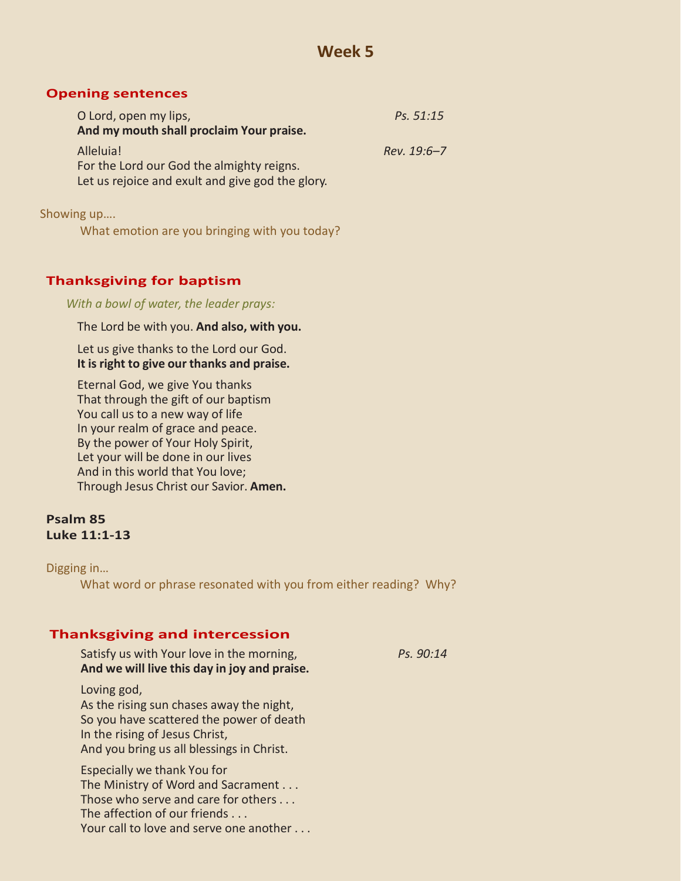## **Opening sentences**

| O Lord, open my lips,                            | Ps. 51:15   |
|--------------------------------------------------|-------------|
| And my mouth shall proclaim Your praise.         |             |
| Alleluia!                                        | Rev. 19:6-7 |
| For the Lord our God the almighty reigns.        |             |
| Let us rejoice and exult and give god the glory. |             |
|                                                  |             |

Showing up….

What emotion are you bringing with you today?

# **Thanksgiving for baptism**

*With a bowl of water, the leader prays:*

The Lord be with you. **And also, with you.**

Let us give thanks to the Lord our God. **It is right to give our thanks and praise.**

Eternal God, we give You thanks That through the gift of our baptism You call us to a new way of life In your realm of grace and peace. By the power of Your Holy Spirit, Let your will be done in our lives And in this world that You love; Through Jesus Christ our Savior. **Amen.**

## **Psalm 85 Luke 11:1-13**

Digging in…

What word or phrase resonated with you from either reading? Why?

## **Thanksgiving and intercession**

| Satisfy us with Your love in the morning,<br>And we will live this day in joy and praise.                                                                                           | Ps. 90:14 |
|-------------------------------------------------------------------------------------------------------------------------------------------------------------------------------------|-----------|
| Loving god,<br>As the rising sun chases away the night,<br>So you have scattered the power of death<br>In the rising of Jesus Christ,<br>And you bring us all blessings in Christ.  |           |
| Especially we thank You for<br>The Ministry of Word and Sacrament<br>Those who serve and care for others<br>The affection of our friends<br>Your call to love and serve one another |           |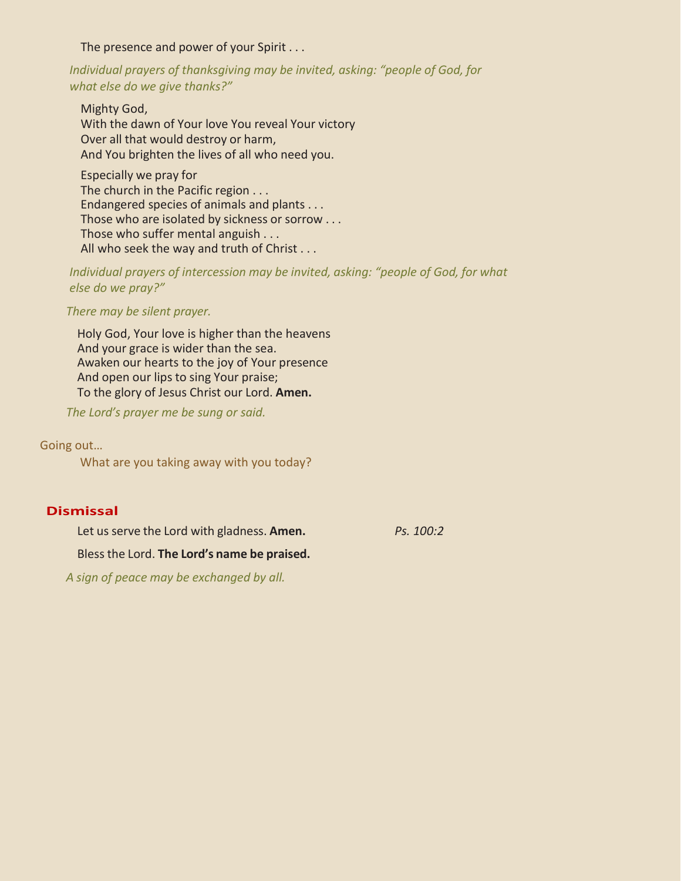The presence and power of your Spirit . . .

*Individual prayers of thanksgiving may be invited, asking: "people of God, for what else do we give thanks?"*

Mighty God, With the dawn of Your love You reveal Your victory Over all that would destroy or harm, And You brighten the lives of all who need you.

Especially we pray for The church in the Pacific region . . . Endangered species of animals and plants . . . Those who are isolated by sickness or sorrow . . . Those who suffer mental anguish . . . All who seek the way and truth of Christ . . .

*Individual prayers of intercession may be invited, asking: "people of God, for what else do we pray?"*

*There may be silent prayer.*

Holy God, Your love is higher than the heavens And your grace is wider than the sea. Awaken our hearts to the joy of Your presence And open our lips to sing Your praise; To the glory of Jesus Christ our Lord. **Amen.**

*The Lord's prayer me be sung or said.*

Going out…

What are you taking away with you today?

## **Dismissal**

Let us serve the Lord with gladness. **Amen.** *Ps. 100:2*

Bless the Lord. **The Lord's name be praised.**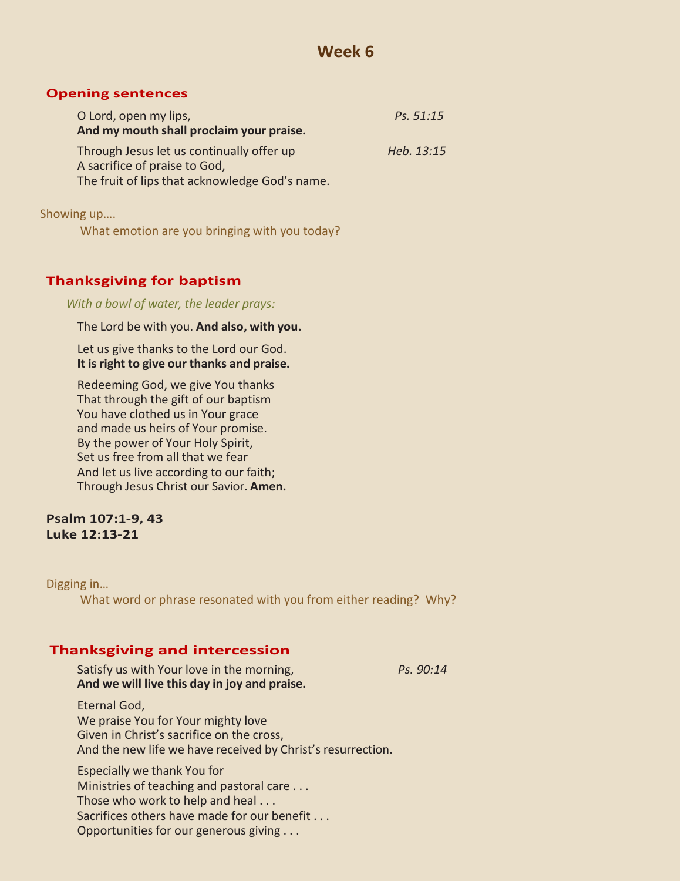## **Opening sentences**

| O Lord, open my lips,                                                                                                        | Ps. 51:15  |
|------------------------------------------------------------------------------------------------------------------------------|------------|
| And my mouth shall proclaim your praise.                                                                                     |            |
| Through Jesus let us continually offer up<br>A sacrifice of praise to God,<br>The fruit of lips that acknowledge God's name. | Heb. 13:15 |

Showing up….

What emotion are you bringing with you today?

# **Thanksgiving for baptism**

*With a bowl of water, the leader prays:*

The Lord be with you. **And also, with you.**

Let us give thanks to the Lord our God. **It is right to give our thanks and praise.**

Redeeming God, we give You thanks That through the gift of our baptism You have clothed us in Your grace and made us heirs of Your promise. By the power of Your Holy Spirit, Set us free from all that we fear And let us live according to our faith; Through Jesus Christ our Savior. **Amen.**

## **Psalm 107:1-9, 43 Luke 12:13-21**

## Digging in…

What word or phrase resonated with you from either reading? Why?

# **Thanksgiving and intercession**

Satisfy us with Your love in the morning, *Ps. 90:14* **And we will live this day in joy and praise.** Eternal God, We praise You for Your mighty love Given in Christ's sacrifice on the cross,

And the new life we have received by Christ's resurrection.

Especially we thank You for Ministries of teaching and pastoral care . . . Those who work to help and heal . . . Sacrifices others have made for our benefit . . . Opportunities for our generous giving . . .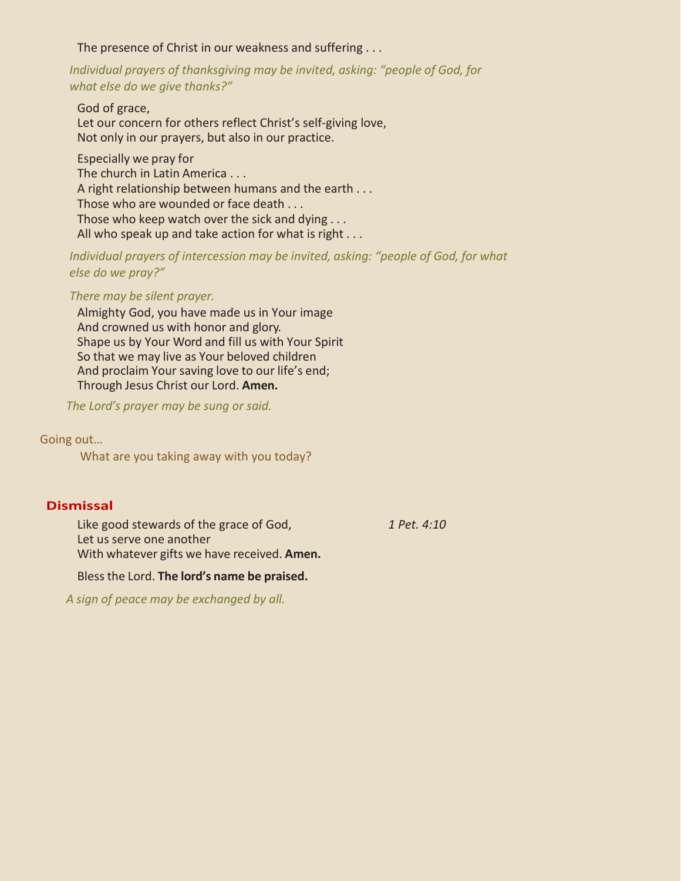The presence of Christ in our weakness and suffering . . .

*Individual prayers of thanksgiving may be invited, asking: "people of God, for what else do we give thanks?"*

God of grace, Let our concern for others reflect Christ's self-giving love, Not only in our prayers, but also in our practice.

Especially we pray for The church in Latin America . . . A right relationship between humans and the earth . . . Those who are wounded or face death . . . Those who keep watch over the sick and dying . . . All who speak up and take action for what is right . . .

*Individual prayers of intercession may be invited, asking: "people of God, for what else do we pray?"*

#### *There may be silent prayer.*

Almighty God, you have made us in Your image And crowned us with honor and glory. Shape us by Your Word and fill us with Your Spirit So that we may live as Your beloved children And proclaim Your saving love to our life's end; Through Jesus Christ our Lord. **Amen.**

*The Lord's prayer may be sung or said.*

Going out…

What are you taking away with you today?

## **Dismissal**

Like good stewards of the grace of God, *1 Pet. 4:10* Let us serve one another With whatever gifts we have received. **Amen.**

## Bless the Lord. **The lord's name be praised.**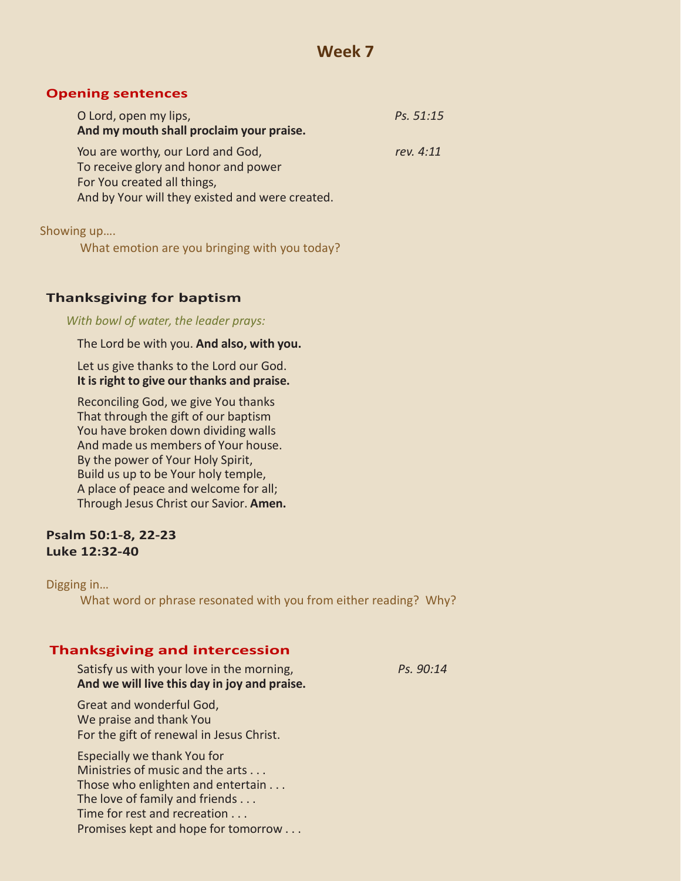### **Opening sentences**

| O Lord, open my lips,                           | Ps. 51:15 |
|-------------------------------------------------|-----------|
| And my mouth shall proclaim your praise.        |           |
| You are worthy, our Lord and God,               | rev. 4:11 |
| To receive glory and honor and power            |           |
| For You created all things,                     |           |
| And by Your will they existed and were created. |           |
|                                                 |           |

Showing up….

What emotion are you bringing with you today?

## **Thanksgiving for baptism**

*With bowl of water, the leader prays:*

The Lord be with you. **And also, with you.**

Let us give thanks to the Lord our God. **It is right to give our thanks and praise.**

Reconciling God, we give You thanks That through the gift of our baptism You have broken down dividing walls And made us members of Your house. By the power of Your Holy Spirit, Build us up to be Your holy temple, A place of peace and welcome for all; Through Jesus Christ our Savior. **Amen.**

## **Psalm 50:1-8, 22-23 Luke 12:32-40**

#### Digging in…

What word or phrase resonated with you from either reading? Why?

## **Thanksgiving and intercession**

Satisfy us with your love in the morning, *Ps. 90:14* **And we will live this day in joy and praise.**

Great and wonderful God, We praise and thank You For the gift of renewal in Jesus Christ.

Especially we thank You for Ministries of music and the arts . . . Those who enlighten and entertain . . . The love of family and friends . . . Time for rest and recreation . . . Promises kept and hope for tomorrow . . .